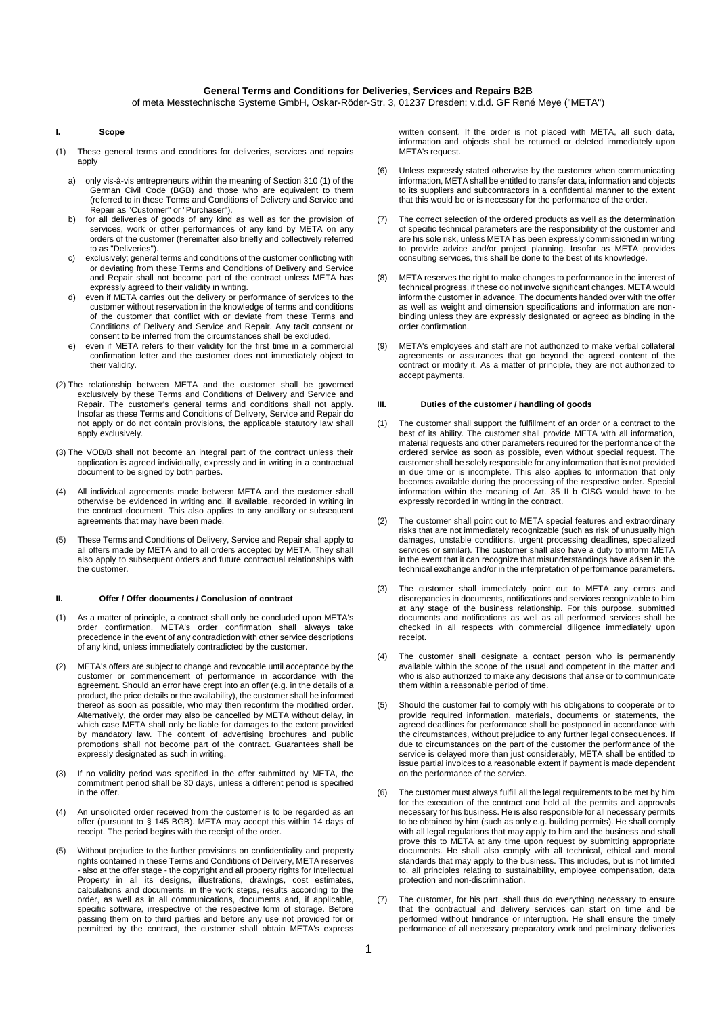# of meta Messtechnische Systeme GmbH, Oskar-Röder-Str. 3, 01237 Dresden; v.d.d. GF René Meye ("META")

#### **I. Scope**

- (1) These general terms and conditions for deliveries, services and repairs apply
	- a) only vis-à-vis entrepreneurs within the meaning of Section 310 (1) of the German Civil Code (BGB) and those who are equivalent to them (referred to in these Terms and Conditions of Delivery and Service and Repair as "Customer" or "Purchaser").
	- b) for all deliveries of goods of any kind as well as for the provision of services, work or other performances of any kind by META on any orders of the customer (hereinafter also briefly and collectively referred to as "Deliveries").
	- c) exclusively; general terms and conditions of the customer conflicting with or deviating from these Terms and Conditions of Delivery and Service and Repair shall not become part of the contract unless META has expressly agreed to their validity in writing.
	- d) even if META carries out the delivery or performance of services to the customer without reservation in the knowledge of terms and conditions of the customer that conflict with or deviate from these Terms and Conditions of Delivery and Service and Repair. Any tacit consent or consent to be inferred from the circumstances shall be excluded.
	- e) even if META refers to their validity for the first time in a commercial confirmation letter and the customer does not immediately object to their validity.
- (2) The relationship between META and the customer shall be governed exclusively by these Terms and Conditions of Delivery and Service and Repair. The customer's general terms and conditions shall not apply. Insofar as these Terms and Conditions of Delivery, Service and Repair do not apply or do not contain provisions, the applicable statutory law shall apply exclusively.
- (3) The VOB/B shall not become an integral part of the contract unless their application is agreed individually, expressly and in writing in a contractual document to be signed by both parties.
- (4) All individual agreements made between META and the customer shall otherwise be evidenced in writing and, if available, recorded in writing in the contract document. This also applies to any ancillary or subsequent agreements that may have been made.
- (5) These Terms and Conditions of Delivery, Service and Repair shall apply to all offers made by META and to all orders accepted by META. They shall also apply to subsequent orders and future contractual relationships with the customer.

## **II. Offer / Offer documents / Conclusion of contract**

- (1) As a matter of principle, a contract shall only be concluded upon META's order confirmation. META's order confirmation shall always take precedence in the event of any contradiction with other service descriptions of any kind, unless immediately contradicted by the customer.
- META's offers are subject to change and revocable until acceptance by the customer or commencement of performance in accordance with the agreement. Should an error have crept into an offer (e.g. in the details of a product, the price details or the availability), the customer shall be informed thereof as soon as possible, who may then reconfirm the modified order. Alternatively, the order may also be cancelled by META without delay, in which case META shall only be liable for damages to the extent provided by mandatory law. The content of advertising brochures and public promotions shall not become part of the contract. Guarantees shall be expressly designated as such in writing.
- (3) If no validity period was specified in the offer submitted by META, the commitment period shall be 30 days, unless a different period is specified in the offer.
- An unsolicited order received from the customer is to be regarded as an offer (pursuant to § 145 BGB). META may accept this within 14 days of receipt. The period begins with the receipt of the order.
- (5) Without prejudice to the further provisions on confidentiality and property rights contained in these Terms and Conditions of Delivery, META reserves - also at the offer stage - the copyright and all property rights for Intellectual Property in all its designs, illustrations, drawings, cost estimates, calculations and documents, in the work steps, results according to the order, as well as in all communications, documents and, if applicable, specific software, irrespective of the respective form of storage. Before passing them on to third parties and before any use not provided for or permitted by the contract, the customer shall obtain META's express

written consent. If the order is not placed with META, all such data, information and objects shall be returned or deleted immediately upon META's request.

- (6) Unless expressly stated otherwise by the customer when communicating information, META shall be entitled to transfer data, information and objects to its suppliers and subcontractors in a confidential manner to the extent that this would be or is necessary for the performance of the order.
- (7) The correct selection of the ordered products as well as the determination of specific technical parameters are the responsibility of the customer and are his sole risk, unless META has been expressly commissioned in writing to provide advice and/or project planning. Insofar as META provides consulting services, this shall be done to the best of its knowledge.
- (8) META reserves the right to make changes to performance in the interest of technical progress, if these do not involve significant changes. META would inform the customer in advance. The documents handed over with the offer as well as weight and dimension specifications and information are nonbinding unless they are expressly designated or agreed as binding in the order confirmation.
- (9) META's employees and staff are not authorized to make verbal collateral agreements or assurances that go beyond the agreed content of the contract or modify it. As a matter of principle, they are not authorized to accept payments.

### **III. Duties of the customer / handling of goods**

- (1) The customer shall support the fulfillment of an order or a contract to the best of its ability. The customer shall provide META with all information, material requests and other parameters required for the performance of the ordered service as soon as possible, even without special request. The customer shall be solely responsible for any information that is not provided in due time or is incomplete. This also applies to information that only becomes available during the processing of the respective order. Special information within the meaning of Art. 35 II b CISG would have to be expressly recorded in writing in the contract.
- (2) The customer shall point out to META special features and extraordinary risks that are not immediately recognizable (such as risk of unusually high damages, unstable conditions, urgent processing deadlines, specialized services or similar). The customer shall also have a duty to inform META in the event that it can recognize that misunderstandings have arisen in the technical exchange and/or in the interpretation of performance parameters.
- (3) The customer shall immediately point out to META any errors and discrepancies in documents, notifications and services recognizable to him at any stage of the business relationship. For this purpose, submitted documents and notifications as well as all performed services shall be checked in all respects with commercial diligence immediately upon receipt.
- (4) The customer shall designate a contact person who is permanently available within the scope of the usual and competent in the matter and who is also authorized to make any decisions that arise or to communicate them within a reasonable period of time.
- (5) Should the customer fail to comply with his obligations to cooperate or to provide required information, materials, documents or statements, the agreed deadlines for performance shall be postponed in accordance with the circumstances, without prejudice to any further legal consequences. If due to circumstances on the part of the customer the performance of the service is delayed more than just considerably, META shall be entitled to issue partial invoices to a reasonable extent if payment is made dependent on the performance of the service.
- (6) The customer must always fulfill all the legal requirements to be met by him for the execution of the contract and hold all the permits and approvals necessary for his business. He is also responsible for all necessary permits to be obtained by him (such as only e.g. building permits). He shall comply with all legal regulations that may apply to him and the business and shall prove this to META at any time upon request by submitting appropriate documents. He shall also comply with all technical, ethical and moral standards that may apply to the business. This includes, but is not limited to, all principles relating to sustainability, employee compensation, data protection and non-discrimination.
- (7) The customer, for his part, shall thus do everything necessary to ensure that the contractual and delivery services can start on time and be performed without hindrance or interruption. He shall ensure the timely performance of all necessary preparatory work and preliminary deliveries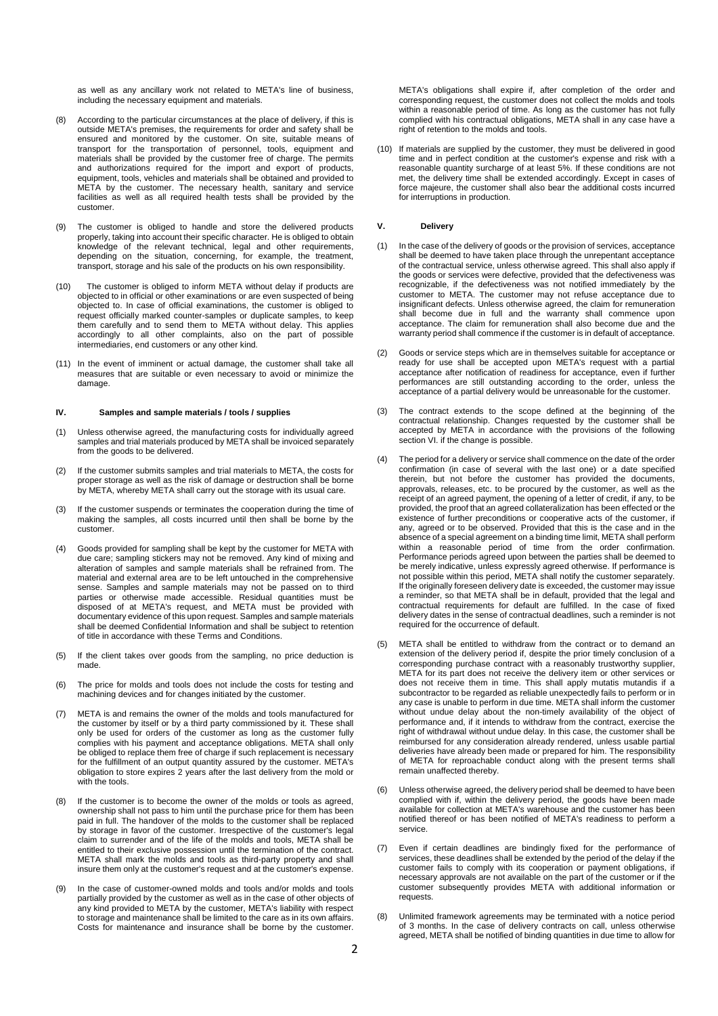as well as any ancillary work not related to META's line of business, including the necessary equipment and materials.

- (8) According to the particular circumstances at the place of delivery, if this is outside META's premises, the requirements for order and safety shall be ensured and monitored by the customer. On site, suitable means of transport for the transportation of personnel, tools, equipment and materials shall be provided by the customer free of charge. The permits and authorizations required for the import and export of products, equipment, tools, vehicles and materials shall be obtained and provided to META by the customer. The necessary health, sanitary and service facilities as well as all required health tests shall be provided by the customer.
- (9) The customer is obliged to handle and store the delivered products properly, taking into account their specific character. He is obliged to obtain knowledge of the relevant technical, legal and other requirements, depending on the situation, concerning, for example, the treatment, transport, storage and his sale of the products on his own responsibility.
- (10) The customer is obliged to inform META without delay if products are objected to in official or other examinations or are even suspected of being objected to. In case of official examinations, the customer is obliged to request officially marked counter-samples or duplicate samples, to keep them carefully and to send them to META without delay. This applies accordingly to all other complaints, also on the part of possible intermediaries, end customers or any other kind.
- (11) In the event of imminent or actual damage, the customer shall take all measures that are suitable or even necessary to avoid or minimize the damage.

#### **IV. Samples and sample materials / tools / supplies**

- (1) Unless otherwise agreed, the manufacturing costs for individually agreed samples and trial materials produced by META shall be invoiced separately from the goods to be delivered.
- (2) If the customer submits samples and trial materials to META, the costs for proper storage as well as the risk of damage or destruction shall be borne by META, whereby META shall carry out the storage with its usual care.
- (3) If the customer suspends or terminates the cooperation during the time of making the samples, all costs incurred until then shall be borne by the customer.
- (4) Goods provided for sampling shall be kept by the customer for META with due care; sampling stickers may not be removed. Any kind of mixing and alteration of samples and sample materials shall be refrained from. The material and external area are to be left untouched in the comprehensive sense. Samples and sample materials may not be passed on to third parties or otherwise made accessible. Residual quantities must be disposed of at META's request, and META must be provided with documentary evidence of this upon request. Samples and sample materials shall be deemed Confidential Information and shall be subject to retention of title in accordance with these Terms and Conditions.
- (5) If the client takes over goods from the sampling, no price deduction is made.
- (6) The price for molds and tools does not include the costs for testing and machining devices and for changes initiated by the customer.
- (7) META is and remains the owner of the molds and tools manufactured for the customer by itself or by a third party commissioned by it. These shall only be used for orders of the customer as long as the customer fully complies with his payment and acceptance obligations. META shall only be obliged to replace them free of charge if such replacement is necessary for the fulfillment of an output quantity assured by the customer. META's obligation to store expires 2 years after the last delivery from the mold or with the tools.
- (8) If the customer is to become the owner of the molds or tools as agreed, ownership shall not pass to him until the purchase price for them has been paid in full. The handover of the molds to the customer shall be replaced by storage in favor of the customer. Irrespective of the customer's legal claim to surrender and of the life of the molds and tools, META shall be entitled to their exclusive possession until the termination of the contract. META shall mark the molds and tools as third-party property and shall insure them only at the customer's request and at the customer's expense.
- (9) In the case of customer-owned molds and tools and/or molds and tools partially provided by the customer as well as in the case of other objects of any kind provided to META by the customer, META's liability with respect to storage and maintenance shall be limited to the care as in its own affairs. Costs for maintenance and insurance shall be borne by the customer.

META's obligations shall expire if, after completion of the order and corresponding request, the customer does not collect the molds and tools within a reasonable period of time. As long as the customer has not fully complied with his contractual obligations, META shall in any case have a right of retention to the molds and tools.

(10) If materials are supplied by the customer, they must be delivered in good time and in perfect condition at the customer's expense and risk with a reasonable quantity surcharge of at least 5%. If these conditions are not met, the delivery time shall be extended accordingly. Except in cases of force majeure, the customer shall also bear the additional costs incurred for interruptions in production.

## **V. Delivery**

- (1) In the case of the delivery of goods or the provision of services, acceptance shall be deemed to have taken place through the unrepentant acceptance of the contractual service, unless otherwise agreed. This shall also apply if the goods or services were defective, provided that the defectiveness was recognizable, if the defectiveness was not notified immediately by the customer to META. The customer may not refuse acceptance due to insignificant defects. Unless otherwise agreed, the claim for remuneration shall become due in full and the warranty shall commence upon acceptance. The claim for remuneration shall also become due and the warranty period shall commence if the customer is in default of acceptance.
- (2) Goods or service steps which are in themselves suitable for acceptance or ready for use shall be accepted upon META's request with a partial acceptance after notification of readiness for acceptance, even if further performances are still outstanding according to the order, unless the acceptance of a partial delivery would be unreasonable for the customer.
- (3) The contract extends to the scope defined at the beginning of the contractual relationship. Changes requested by the customer shall be accepted by META in accordance with the provisions of the following section VI. if the change is possible.
- (4) The period for a delivery or service shall commence on the date of the order confirmation (in case of several with the last one) or a date specified therein, but not before the customer has provided the documents, approvals, releases, etc. to be procured by the customer, as well as the receipt of an agreed payment, the opening of a letter of credit, if any, to be provided, the proof that an agreed collateralization has been effected or the existence of further preconditions or cooperative acts of the customer, if any, agreed or to be observed. Provided that this is the case and in the absence of a special agreement on a binding time limit, META shall perform within a reasonable period of time from the order confirmation. Performance periods agreed upon between the parties shall be deemed to be merely indicative, unless expressly agreed otherwise. If performance is not possible within this period, META shall notify the customer separately. If the originally foreseen delivery date is exceeded, the customer may issue a reminder, so that META shall be in default, provided that the legal and contractual requirements for default are fulfilled. In the case of fixed delivery dates in the sense of contractual deadlines, such a reminder is not required for the occurrence of default.
- (5) META shall be entitled to withdraw from the contract or to demand an extension of the delivery period if, despite the prior timely conclusion of a corresponding purchase contract with a reasonably trustworthy supplier, META for its part does not receive the delivery item or other services or does not receive them in time. This shall apply mutatis mutandis if a subcontractor to be regarded as reliable unexpectedly fails to perform or in any case is unable to perform in due time. META shall inform the customer without undue delay about the non-timely availability of the object of performance and, if it intends to withdraw from the contract, exercise the right of withdrawal without undue delay. In this case, the customer shall be reimbursed for any consideration already rendered, unless usable partial deliveries have already been made or prepared for him. The responsibility of META for reproachable conduct along with the present terms shall remain unaffected thereby.
- (6) Unless otherwise agreed, the delivery period shall be deemed to have been complied with if, within the delivery period, the goods have been made available for collection at META's warehouse and the customer has been notified thereof or has been notified of META's readiness to perform a service.
- (7) Even if certain deadlines are bindingly fixed for the performance of services, these deadlines shall be extended by the period of the delay if the customer fails to comply with its cooperation or payment obligations, if necessary approvals are not available on the part of the customer or if the customer subsequently provides META with additional information or requests.
- (8) Unlimited framework agreements may be terminated with a notice period of 3 months. In the case of delivery contracts on call, unless otherwise agreed, META shall be notified of binding quantities in due time to allow for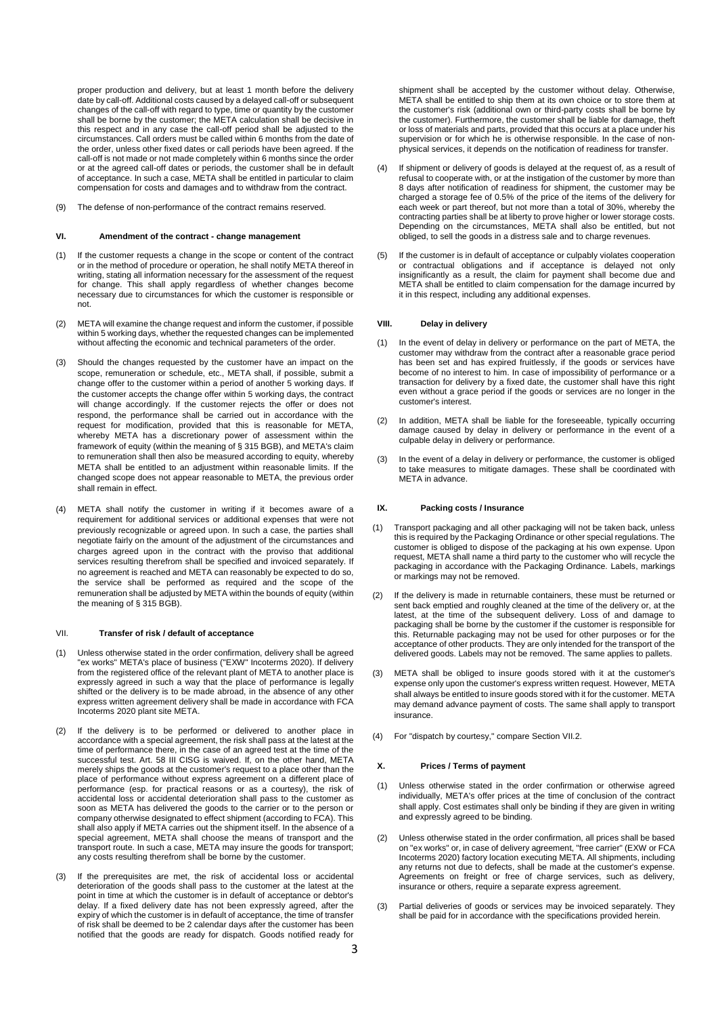proper production and delivery, but at least 1 month before the delivery date by call-off. Additional costs caused by a delayed call-off or subsequent changes of the call-off with regard to type, time or quantity by the customer shall be borne by the customer; the META calculation shall be decisive in this respect and in any case the call-off period shall be adjusted to the circumstances. Call orders must be called within 6 months from the date of the order, unless other fixed dates or call periods have been agreed. If the call-off is not made or not made completely within 6 months since the order or at the agreed call-off dates or periods, the customer shall be in default of acceptance. In such a case, META shall be entitled in particular to claim compensation for costs and damages and to withdraw from the contract.

(9) The defense of non-performance of the contract remains reserved.

#### **VI. Amendment of the contract - change management**

- (1) If the customer requests a change in the scope or content of the contract or in the method of procedure or operation, he shall notify META thereof in writing, stating all information necessary for the assessment of the request for change. This shall apply regardless of whether changes become necessary due to circumstances for which the customer is responsible or not.
- (2) META will examine the change request and inform the customer, if possible within 5 working days, whether the requested changes can be implemented without affecting the economic and technical parameters of the order.
- (3) Should the changes requested by the customer have an impact on the scope, remuneration or schedule, etc., META shall, if possible, submit a change offer to the customer within a period of another 5 working days. If the customer accepts the change offer within 5 working days, the contract will change accordingly. If the customer rejects the offer or does not respond, the performance shall be carried out in accordance with the request for modification, provided that this is reasonable for META, whereby META has a discretionary power of assessment within the framework of equity (within the meaning of § 315 BGB), and META's claim to remuneration shall then also be measured according to equity, whereby META shall be entitled to an adjustment within reasonable limits. If the changed scope does not appear reasonable to META, the previous order shall remain in effect.
- (4) META shall notify the customer in writing if it becomes aware of a requirement for additional services or additional expenses that were not previously recognizable or agreed upon. In such a case, the parties shall negotiate fairly on the amount of the adjustment of the circumstances and charges agreed upon in the contract with the proviso that additional services resulting therefrom shall be specified and invoiced separately. If no agreement is reached and META can reasonably be expected to do so, the service shall be performed as required and the scope of the remuneration shall be adjusted by META within the bounds of equity (within the meaning of § 315 BGB).

## VII. **Transfer of risk / default of acceptance**

- (1) Unless otherwise stated in the order confirmation, delivery shall be agreed ex works" META's place of business ("EXW" Incoterms 2020). If delivery from the registered office of the relevant plant of META to another place is expressly agreed in such a way that the place of performance is legally shifted or the delivery is to be made abroad, in the absence of any other express written agreement delivery shall be made in accordance with FCA Incoterms 2020 plant site META.
- (2) If the delivery is to be performed or delivered to another place in accordance with a special agreement, the risk shall pass at the latest at the time of performance there, in the case of an agreed test at the time of the successful test. Art. 58 III CISG is waived. If, on the other hand, META merely ships the goods at the customer's request to a place other than the place of performance without express agreement on a different place of performance (esp. for practical reasons or as a courtesy), the risk of accidental loss or accidental deterioration shall pass to the customer as soon as META has delivered the goods to the carrier or to the person or company otherwise designated to effect shipment (according to FCA). This shall also apply if META carries out the shipment itself. In the absence of a special agreement, META shall choose the means of transport and the transport route. In such a case, META may insure the goods for transport; any costs resulting therefrom shall be borne by the customer.
- If the prerequisites are met, the risk of accidental loss or accidental deterioration of the goods shall pass to the customer at the latest at the point in time at which the customer is in default of acceptance or debtor's delay. If a fixed delivery date has not been expressly agreed, after the expiry of which the customer is in default of acceptance, the time of transfer of risk shall be deemed to be 2 calendar days after the customer has been notified that the goods are ready for dispatch. Goods notified ready for

shipment shall be accepted by the customer without delay. Otherwise, META shall be entitled to ship them at its own choice or to store them at the customer's risk (additional own or third-party costs shall be borne by the customer). Furthermore, the customer shall be liable for damage, theft or loss of materials and parts, provided that this occurs at a place under his supervision or for which he is otherwise responsible. In the case of nonphysical services, it depends on the notification of readiness for transfer.

- (4) If shipment or delivery of goods is delayed at the request of, as a result of refusal to cooperate with, or at the instigation of the customer by more than 8 days after notification of readiness for shipment, the customer may be charged a storage fee of 0.5% of the price of the items of the delivery for each week or part thereof, but not more than a total of 30%, whereby the contracting parties shall be at liberty to prove higher or lower storage costs. Depending on the circumstances, META shall also be entitled, but not obliged, to sell the goods in a distress sale and to charge revenues.
- (5) If the customer is in default of acceptance or culpably violates cooperation or contractual obligations and if acceptance is delayed not only insignificantly as a result, the claim for payment shall become due and META shall be entitled to claim compensation for the damage incurred by it in this respect, including any additional expenses.

## **VIII. Delay in delivery**

- (1) In the event of delay in delivery or performance on the part of META, the customer may withdraw from the contract after a reasonable grace period has been set and has expired fruitlessly, if the goods or services have become of no interest to him. In case of impossibility of performance or a transaction for delivery by a fixed date, the customer shall have this right even without a grace period if the goods or services are no longer in the customer's interest.
- (2) In addition, META shall be liable for the foreseeable, typically occurring damage caused by delay in delivery or performance in the event of a culpable delay in delivery or performance.
- (3) In the event of a delay in delivery or performance, the customer is obliged to take measures to mitigate damages. These shall be coordinated with META in advance.

## **IX. Packing costs / Insurance**

- (1) Transport packaging and all other packaging will not be taken back, unless this is required by the Packaging Ordinance or other special regulations. The customer is obliged to dispose of the packaging at his own expense. Upon request, META shall name a third party to the customer who will recycle the packaging in accordance with the Packaging Ordinance. Labels, markings or markings may not be removed.
- (2) If the delivery is made in returnable containers, these must be returned or sent back emptied and roughly cleaned at the time of the delivery or, at the latest, at the time of the subsequent delivery. Loss of and damage to packaging shall be borne by the customer if the customer is responsible for this. Returnable packaging may not be used for other purposes or for the acceptance of other products. They are only intended for the transport of the delivered goods. Labels may not be removed. The same applies to pallets.
- META shall be obliged to insure goods stored with it at the customer's expense only upon the customer's express written request. However, META shall always be entitled to insure goods stored with it for the customer. META may demand advance payment of costs. The same shall apply to transport insurance.
- (4) For "dispatch by courtesy," compare Section VII.2.

## **X. Prices / Terms of payment**

- (1) Unless otherwise stated in the order confirmation or otherwise agreed individually, META's offer prices at the time of conclusion of the contract shall apply. Cost estimates shall only be binding if they are given in writing and expressly agreed to be binding.
- (2) Unless otherwise stated in the order confirmation, all prices shall be based on "ex works" or, in case of delivery agreement, "free carrier" (EXW or FCA Incoterms 2020) factory location executing META. All shipments, including any returns not due to defects, shall be made at the customer's expense. Agreements on freight or free of charge services, such as delivery, insurance or others, require a separate express agreement.
- (3) Partial deliveries of goods or services may be invoiced separately. They shall be paid for in accordance with the specifications provided herein.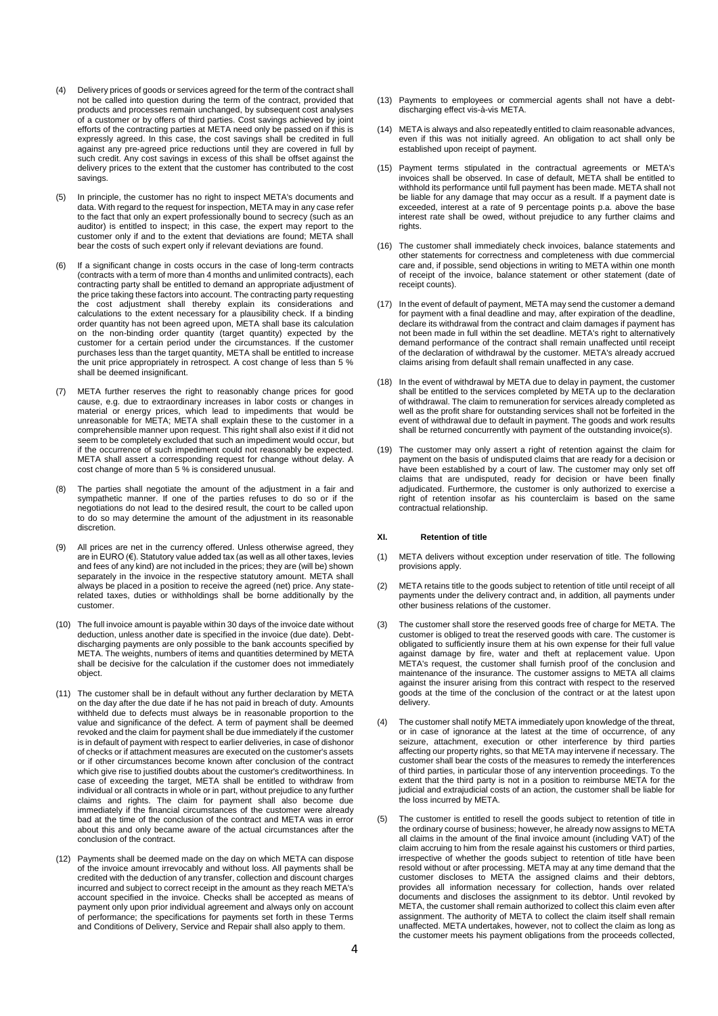- (4) Delivery prices of goods or services agreed for the term of the contract shall not be called into question during the term of the contract, provided that products and processes remain unchanged, by subsequent cost analyses of a customer or by offers of third parties. Cost savings achieved by joint efforts of the contracting parties at META need only be passed on if this is expressly agreed. In this case, the cost savings shall be credited in full against any pre-agreed price reductions until they are covered in full by such credit. Any cost savings in excess of this shall be offset against the delivery prices to the extent that the customer has contributed to the cost savings.
- (5) In principle, the customer has no right to inspect META's documents and data. With regard to the request for inspection, META may in any case refer to the fact that only an expert professionally bound to secrecy (such as an auditor) is entitled to inspect; in this case, the expert may report to the customer only if and to the extent that deviations are found; META shall bear the costs of such expert only if relevant deviations are found.
- (6) If a significant change in costs occurs in the case of long-term contracts (contracts with a term of more than 4 months and unlimited contracts), each contracting party shall be entitled to demand an appropriate adjustment of the price taking these factors into account. The contracting party requesting the cost adjustment shall thereby explain its considerations and calculations to the extent necessary for a plausibility check. If a binding order quantity has not been agreed upon, META shall base its calculation on the non-binding order quantity (target quantity) expected by the customer for a certain period under the circumstances. If the customer purchases less than the target quantity, META shall be entitled to increase the unit price appropriately in retrospect. A cost change of less than 5 % shall be deemed insignificant.
- (7) META further reserves the right to reasonably change prices for good cause, e.g. due to extraordinary increases in labor costs or changes in material or energy prices, which lead to impediments that would be unreasonable for META; META shall explain these to the customer in a comprehensible manner upon request. This right shall also exist if it did not seem to be completely excluded that such an impediment would occur, but if the occurrence of such impediment could not reasonably be expected. META shall assert a corresponding request for change without delay. A cost change of more than 5 % is considered unusual.
- (8) The parties shall negotiate the amount of the adjustment in a fair and sympathetic manner. If one of the parties refuses to do so or if the negotiations do not lead to the desired result, the court to be called upon to do so may determine the amount of the adjustment in its reasonable discretion.
- (9) All prices are net in the currency offered. Unless otherwise agreed, they are in EURO (€). Statutory value added tax (as well as all other taxes, levies and fees of any kind) are not included in the prices; they are (will be) shown separately in the invoice in the respective statutory amount. META shall always be placed in a position to receive the agreed (net) price. Any staterelated taxes, duties or withholdings shall be borne additionally by the customer.
- (10) The full invoice amount is payable within 30 days of the invoice date without deduction, unless another date is specified in the invoice (due date). Debtdischarging payments are only possible to the bank accounts specified by discharging payments are only possible to the bank accounts specified by META. The weights, numbers of items and quantities determined by META shall be decisive for the calculation if the customer does not immediately object.
- (11) The customer shall be in default without any further declaration by META on the day after the due date if he has not paid in breach of duty. Amounts withheld due to defects must always be in reasonable proportion to the value and significance of the defect. A term of payment shall be deemed revoked and the claim for payment shall be due immediately if the customer is in default of payment with respect to earlier deliveries, in case of dishonor of checks or if attachment measures are executed on the customer's assets or if other circumstances become known after conclusion of the contract which give rise to justified doubts about the customer's creditworthiness. In case of exceeding the target, META shall be entitled to withdraw from individual or all contracts in whole or in part, without prejudice to any further claims and rights. The claim for payment shall also become due immediately if the financial circumstances of the customer were already bad at the time of the conclusion of the contract and META was in error about this and only became aware of the actual circumstances after the conclusion of the contract.
- (12) Payments shall be deemed made on the day on which META can dispose of the invoice amount irrevocably and without loss. All payments shall be credited with the deduction of any transfer, collection and discount charges incurred and subject to correct receipt in the amount as they reach META's account specified in the invoice. Checks shall be accepted as means of payment only upon prior individual agreement and always only on account of performance; the specifications for payments set forth in these Terms and Conditions of Delivery, Service and Repair shall also apply to them.
- (13) Payments to employees or commercial agents shall not have a debtdischarging effect vis-à-vis META.
- (14) META is always and also repeatedly entitled to claim reasonable advances, even if this was not initially agreed. An obligation to act shall only be established upon receipt of payment.
- (15) Payment terms stipulated in the contractual agreements or META's invoices shall be observed. In case of default, META shall be entitled to withhold its performance until full payment has been made. META shall not be liable for any damage that may occur as a result. If a payment date is exceeded, interest at a rate of 9 percentage points p.a. above the base interest rate shall be owed, without prejudice to any further claims and rights.
- (16) The customer shall immediately check invoices, balance statements and other statements for correctness and completeness with due commercial care and, if possible, send objections in writing to META within one month of receipt of the invoice, balance statement or other statement (date of receipt counts).
- (17) In the event of default of payment, META may send the customer a demand for payment with a final deadline and may, after expiration of the deadline, declare its withdrawal from the contract and claim damages if payment has not been made in full within the set deadline. META's right to alternatively demand performance of the contract shall remain unaffected until receipt of the declaration of withdrawal by the customer. META's already accrued claims arising from default shall remain unaffected in any case.
- (18) In the event of withdrawal by META due to delay in payment, the customer shall be entitled to the services completed by META up to the declaration of withdrawal. The claim to remuneration for services already completed as well as the profit share for outstanding services shall not be forfeited in the event of withdrawal due to default in payment. The goods and work results shall be returned concurrently with payment of the outstanding invoice(s).
- (19) The customer may only assert a right of retention against the claim for payment on the basis of undisputed claims that are ready for a decision or have been established by a court of law. The customer may only set off claims that are undisputed, ready for decision or have been finally adjudicated. Furthermore, the customer is only authorized to exercise a right of retention insofar as his counterclaim is based on the same contractual relationship.

## **XI. Retention of title**

- (1) META delivers without exception under reservation of title. The following provisions apply.
- (2) META retains title to the goods subject to retention of title until receipt of all payments under the delivery contract and, in addition, all payments under other business relations of the customer.
- (3) The customer shall store the reserved goods free of charge for META. The customer is obliged to treat the reserved goods with care. The customer is obligated to sufficiently insure them at his own expense for their full value against damage by fire, water and theft at replacement value. Upon META's request, the customer shall furnish proof of the conclusion and maintenance of the insurance. The customer assigns to META all claims against the insurer arising from this contract with respect to the reserved goods at the time of the conclusion of the contract or at the latest upon delivery.
- (4) The customer shall notify META immediately upon knowledge of the threat, or in case of ignorance at the latest at the time of occurrence, of any seizure, attachment, execution or other interference by third parties affecting our property rights, so that META may intervene if necessary. The customer shall bear the costs of the measures to remedy the interferences of third parties, in particular those of any intervention proceedings. To the extent that the third party is not in a position to reimburse META for the judicial and extrajudicial costs of an action, the customer shall be liable for the loss incurred by META.
- (5) The customer is entitled to resell the goods subject to retention of title in the ordinary course of business; however, he already now assigns to META all claims in the amount of the final invoice amount (including VAT) of the claim accruing to him from the resale against his customers or third parties, irrespective of whether the goods subject to retention of title have been resold without or after processing. META may at any time demand that the customer discloses to META the assigned claims and their debtors, provides all information necessary for collection, hands over related documents and discloses the assignment to its debtor. Until revoked by META, the customer shall remain authorized to collect this claim even after assignment. The authority of META to collect the claim itself shall remain unaffected. META undertakes, however, not to collect the claim as long as the customer meets his payment obligations from the proceeds collected,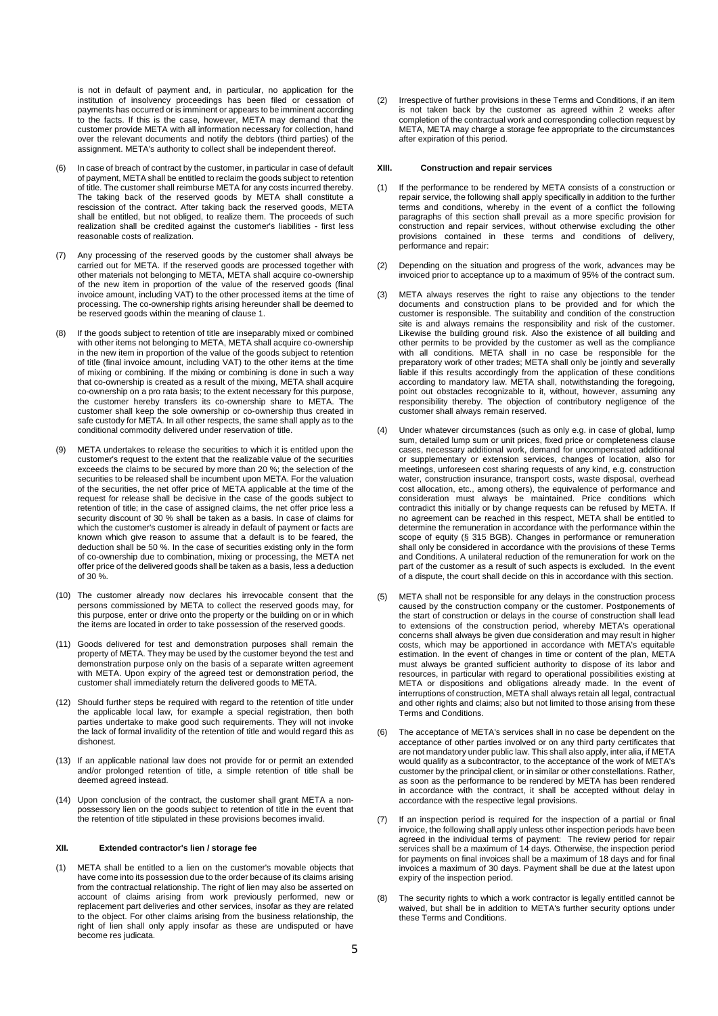is not in default of payment and, in particular, no application for the institution of insolvency proceedings has been filed or cessation of payments has occurred or is imminent or appears to be imminent according to the facts. If this is the case, however, META may demand that the customer provide META with all information necessary for collection, hand over the relevant documents and notify the debtors (third parties) of the assignment. META's authority to collect shall be independent thereof.

- (6) In case of breach of contract by the customer, in particular in case of default of payment, META shall be entitled to reclaim the goods subject to retention of title. The customer shall reimburse META for any costs incurred thereby. The taking back of the reserved goods by META shall constitute a rescission of the contract. After taking back the reserved goods, META shall be entitled, but not obliged, to realize them. The proceeds of such realization shall be credited against the customer's liabilities - first less reasonable costs of realization.
- (7) Any processing of the reserved goods by the customer shall always be carried out for META. If the reserved goods are processed together with other materials not belonging to META, META shall acquire co-ownership of the new item in proportion of the value of the reserved goods (final invoice amount, including VAT) to the other processed items at the time of processing. The co-ownership rights arising hereunder shall be deemed to be reserved goods within the meaning of clause 1.
- (8) If the goods subject to retention of title are inseparably mixed or combined with other items not belonging to META, META shall acquire co-ownership in the new item in proportion of the value of the goods subject to retention of title (final invoice amount, including VAT) to the other items at the time of mixing or combining. If the mixing or combining is done in such a way that co-ownership is created as a result of the mixing, META shall acquire co-ownership on a pro rata basis; to the extent necessary for this purpose, the customer hereby transfers its co-ownership share to META. The customer shall keep the sole ownership or co-ownership thus created in safe custody for META. In all other respects, the same shall apply as to the conditional commodity delivered under reservation of title.
- (9) META undertakes to release the securities to which it is entitled upon the customer's request to the extent that the realizable value of the securities exceeds the claims to be secured by more than 20 %; the selection of the securities to be released shall be incumbent upon META. For the valuation of the securities, the net offer price of META applicable at the time of the request for release shall be decisive in the case of the goods subject to retention of title; in the case of assigned claims, the net offer price less a security discount of 30 % shall be taken as a basis. In case of claims for which the customer's customer is already in default of payment or facts are known which give reason to assume that a default is to be feared, the deduction shall be 50 %. In the case of securities existing only in the form of co-ownership due to combination, mixing or processing, the META net offer price of the delivered goods shall be taken as a basis, less a deduction of 30 %.
- (10) The customer already now declares his irrevocable consent that the persons commissioned by META to collect the reserved goods may, for this purpose, enter or drive onto the property or the building on or in which the items are located in order to take possession of the reserved goods.
- (11) Goods delivered for test and demonstration purposes shall remain the property of META. They may be used by the customer beyond the test and demonstration purpose only on the basis of a separate written agreement with META. Upon expiry of the agreed test or demonstration period, the customer shall immediately return the delivered goods to META.
- (12) Should further steps be required with regard to the retention of title under the applicable local law, for example a special registration, then both parties undertake to make good such requirements. They will not invoke the lack of formal invalidity of the retention of title and would regard this as dishonest.
- (13) If an applicable national law does not provide for or permit an extended and/or prolonged retention of title, a simple retention of title shall be deemed agreed instead.
- (14) Upon conclusion of the contract, the customer shall grant META a nonpossessory lien on the goods subject to retention of title in the event that the retention of title stipulated in these provisions becomes invalid.

### **XII. Extended contractor's lien / storage fee**

(1) META shall be entitled to a lien on the customer's movable objects that have come into its possession due to the order because of its claims arising from the contractual relationship. The right of lien may also be asserted on account of claims arising from work previously performed, new or replacement part deliveries and other services, insofar as they are related to the object. For other claims arising from the business relationship, the right of lien shall only apply insofar as these are undisputed or have become res judicata.

(2) Irrespective of further provisions in these Terms and Conditions, if an item is not taken back by the customer as agreed within 2 weeks after completion of the contractual work and corresponding collection request by META, META may charge a storage fee appropriate to the circumstances after expiration of this period.

## **XIII. Construction and repair services**

- (1) If the performance to be rendered by META consists of a construction or repair service, the following shall apply specifically in addition to the further terms and conditions, whereby in the event of a conflict the following paragraphs of this section shall prevail as a more specific provision for construction and repair services, without otherwise excluding the other provisions contained in these terms and conditions of delivery, performance and repair:
- (2) Depending on the situation and progress of the work, advances may be invoiced prior to acceptance up to a maximum of 95% of the contract sum.
- (3) META always reserves the right to raise any objections to the tender documents and construction plans to be provided and for which the customer is responsible. The suitability and condition of the construction site is and always remains the responsibility and risk of the customer. Likewise the building ground risk. Also the existence of all building and other permits to be provided by the customer as well as the compliance with all conditions. META shall in no case be responsible for the preparatory work of other trades; META shall only be jointly and severally liable if this results accordingly from the application of these conditions according to mandatory law. META shall, notwithstanding the foregoing, point out obstacles recognizable to it, without, however, assuming any responsibility thereby. The objection of contributory negligence of the customer shall always remain reserved.
- (4) Under whatever circumstances (such as only e.g. in case of global, lump sum, detailed lump sum or unit prices, fixed price or completeness clause cases, necessary additional work, demand for uncompensated additional or supplementary or extension services, changes of location, also for meetings, unforeseen cost sharing requests of any kind, e.g. construction water, construction insurance, transport costs, waste disposal, overhead cost allocation, etc., among others), the equivalence of performance and consideration must always be maintained. Price conditions which contradict this initially or by change requests can be refused by META. If no agreement can be reached in this respect, META shall be entitled to determine the remuneration in accordance with the performance within the scope of equity (§ 315 BGB). Changes in performance or remuneration shall only be considered in accordance with the provisions of these Terms and Conditions. A unilateral reduction of the remuneration for work on the part of the customer as a result of such aspects is excluded. In the event of a dispute, the court shall decide on this in accordance with this section.
- (5) META shall not be responsible for any delays in the construction process caused by the construction company or the customer. Postponements of the start of construction or delays in the course of construction shall lead to extensions of the construction period, whereby META's operational concerns shall always be given due consideration and may result in higher costs, which may be apportioned in accordance with META's equitable estimation. In the event of changes in time or content of the plan, META must always be granted sufficient authority to dispose of its labor and resources, in particular with regard to operational possibilities existing at META or dispositions and obligations already made. In the event of interruptions of construction, META shall always retain all legal, contractual and other rights and claims; also but not limited to those arising from these Terms and Conditions.
- (6) The acceptance of META's services shall in no case be dependent on the acceptance of other parties involved or on any third party certificates that are not mandatory under public law. This shall also apply, inter alia, if META would qualify as a subcontractor, to the acceptance of the work of META's customer by the principal client, or in similar or other constellations. Rather, as soon as the performance to be rendered by META has been rendered in accordance with the contract, it shall be accepted without delay in accordance with the respective legal provisions.
- (7) If an inspection period is required for the inspection of a partial or final invoice, the following shall apply unless other inspection periods have been agreed in the individual terms of payment: The review period for repair services shall be a maximum of 14 days. Otherwise, the inspection period for payments on final invoices shall be a maximum of 18 days and for final invoices a maximum of 30 days. Payment shall be due at the latest upon expiry of the inspection period.
- (8) The security rights to which a work contractor is legally entitled cannot be waived, but shall be in addition to META's further security options under these Terms and Conditions.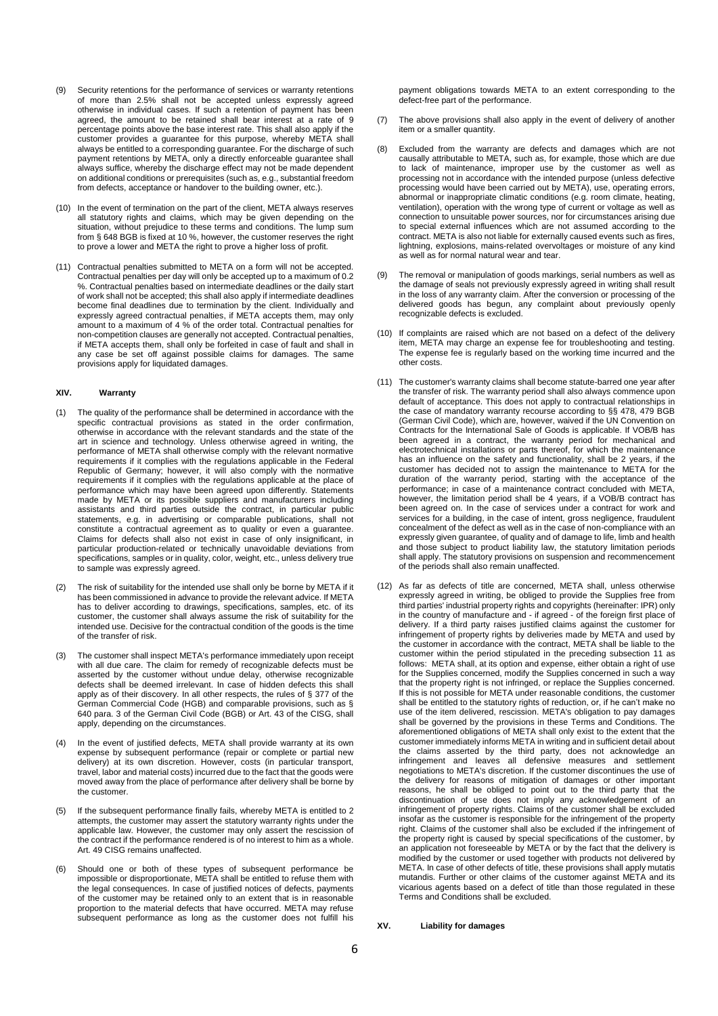- (9) Security retentions for the performance of services or warranty retentions of more than 2.5% shall not be accepted unless expressly agreed otherwise in individual cases. If such a retention of payment has been agreed, the amount to be retained shall bear interest at a rate of 9 percentage points above the base interest rate. This shall also apply if the customer provides a guarantee for this purpose, whereby META shall always be entitled to a corresponding guarantee. For the discharge of such payment retentions by META, only a directly enforceable guarantee shall always suffice, whereby the discharge effect may not be made dependent on additional conditions or prerequisites (such as, e.g., substantial freedom from defects, acceptance or handover to the building owner, etc.)
- (10) In the event of termination on the part of the client, META always reserves all statutory rights and claims, which may be given depending on the situation, without prejudice to these terms and conditions. The lump sum from § 648 BGB is fixed at 10 %, however, the customer reserves the right to prove a lower and META the right to prove a higher loss of profit.
- (11) Contractual penalties submitted to META on a form will not be accepted. Contractual penalties per day will only be accepted up to a maximum of 0.2 %. Contractual penalties based on intermediate deadlines or the daily start of work shall not be accepted; this shall also apply if intermediate deadlines become final deadlines due to termination by the client. Individually and expressly agreed contractual penalties, if META accepts them, may only amount to a maximum of 4 % of the order total. Contractual penalties for non-competition clauses are generally not accepted. Contractual penalties, if META accepts them, shall only be forfeited in case of fault and shall in any case be set off against possible claims for damages. The same provisions apply for liquidated damages.

### **XIV. Warranty**

- (1) The quality of the performance shall be determined in accordance with the specific contractual provisions as stated in the order confirmation, otherwise in accordance with the relevant standards and the state of the art in science and technology. Unless otherwise agreed in writing, the performance of META shall otherwise comply with the relevant normative requirements if it complies with the regulations applicable in the Federal Republic of Germany; however, it will also comply with the normative requirements if it complies with the regulations applicable at the place of performance which may have been agreed upon differently. Statements made by META or its possible suppliers and manufacturers including assistants and third parties outside the contract, in particular public statements, e.g. in advertising or comparable publications, shall not constitute a contractual agreement as to quality or even a guarantee. Claims for defects shall also not exist in case of only insignificant, in particular production-related or technically unavoidable deviations from specifications, samples or in quality, color, weight, etc., unless delivery true to sample was expressly agreed.
- (2) The risk of suitability for the intended use shall only be borne by META if it has been commissioned in advance to provide the relevant advice. If META has to deliver according to drawings, specifications, samples, etc. of its customer, the customer shall always assume the risk of suitability for the intended use. Decisive for the contractual condition of the goods is the time of the transfer of risk.
- (3) The customer shall inspect META's performance immediately upon receipt with all due care. The claim for remedy of recognizable defects must be asserted by the customer without undue delay, otherwise recognizable defects shall be deemed irrelevant. In case of hidden defects this shall apply as of their discovery. In all other respects, the rules of § 377 of the German Commercial Code (HGB) and comparable provisions, such as § 640 para. 3 of the German Civil Code (BGB) or Art. 43 of the CISG, shall apply, depending on the circumstances.
- (4) In the event of justified defects, META shall provide warranty at its own expense by subsequent performance (repair or complete or partial new delivery) at its own discretion. However, costs (in particular transport, travel, labor and material costs) incurred due to the fact that the goods were moved away from the place of performance after delivery shall be borne by the customer.
- (5) If the subsequent performance finally fails, whereby META is entitled to 2 attempts, the customer may assert the statutory warranty rights under the applicable law. However, the customer may only assert the rescission of the contract if the performance rendered is of no interest to him as a whole. Art. 49 CISG remains unaffected.
- (6) Should one or both of these types of subsequent performance be impossible or disproportionate, META shall be entitled to refuse them with the legal consequences. In case of justified notices of defects, payments of the customer may be retained only to an extent that is in reasonable proportion to the material defects that have occurred. META may refuse subsequent performance as long as the customer does not fulfill his

payment obligations towards META to an extent corresponding to the defect-free part of the performance.

- (7) The above provisions shall also apply in the event of delivery of another item or a smaller quantity.
- (8) Excluded from the warranty are defects and damages which are not causally attributable to META, such as, for example, those which are due to lack of maintenance, improper use by the customer as well as processing not in accordance with the intended purpose (unless defective processing would have been carried out by META), use, operating errors, abnormal or inappropriate climatic conditions (e.g. room climate, heating, ventilation), operation with the wrong type of current or voltage as well as connection to unsuitable power sources, nor for circumstances arising due to special external influences which are not assumed according to the contract. META is also not liable for externally caused events such as fires, lightning, explosions, mains-related overvoltages or moisture of any kind as well as for normal natural wear and tear.
- (9) The removal or manipulation of goods markings, serial numbers as well as the damage of seals not previously expressly agreed in writing shall result in the loss of any warranty claim. After the conversion or processing of the delivered goods has begun, any complaint about previously openly recognizable defects is excluded.
- (10) If complaints are raised which are not based on a defect of the delivery item, META may charge an expense fee for troubleshooting and testing. The expense fee is regularly based on the working time incurred and the other costs.
- (11) The customer's warranty claims shall become statute-barred one year after the transfer of risk. The warranty period shall also always commence upon default of acceptance. This does not apply to contractual relationships in the case of mandatory warranty recourse according to §§ 478, 479 BGB (German Civil Code), which are, however, waived if the UN Convention on Contracts for the International Sale of Goods is applicable. If VOB/B has been agreed in a contract, the warranty period for mechanical and electrotechnical installations or parts thereof, for which the maintenance has an influence on the safety and functionality, shall be 2 years, if the customer has decided not to assign the maintenance to META for the duration of the warranty period, starting with the acceptance of the performance; in case of a maintenance contract concluded with META, however, the limitation period shall be 4 years, if a VOB/B contract has been agreed on. In the case of services under a contract for work and services for a building, in the case of intent, gross negligence, fraudulent concealment of the defect as well as in the case of non-compliance with an expressly given guarantee, of quality and of damage to life, limb and health and those subject to product liability law, the statutory limitation periods shall apply. The statutory provisions on suspension and recommencement of the periods shall also remain unaffected.
- (12) As far as defects of title are concerned, META shall, unless otherwise expressly agreed in writing, be obliged to provide the Supplies free from third parties' industrial property rights and copyrights (hereinafter: IPR) only in the country of manufacture and - if agreed - of the foreign first place of delivery. If a third party raises justified claims against the customer for infringement of property rights by deliveries made by META and used by the customer in accordance with the contract, META shall be liable to the customer within the period stipulated in the preceding subsection 11 as follows: META shall, at its option and expense, either obtain a right of use for the Supplies concerned, modify the Supplies concerned in such a way that the property right is not infringed, or replace the Supplies concerned. If this is not possible for META under reasonable conditions, the customer shall be entitled to the statutory rights of reduction, or, if he can't make no use of the item delivered, rescission. META's obligation to pay damages shall be governed by the provisions in these Terms and Conditions. The aforementioned obligations of META shall only exist to the extent that the customer immediately informs META in writing and in sufficient detail about the claims asserted by the third party, does not acknowledge an infringement and leaves all defensive measures and settlement negotiations to META's discretion. If the customer discontinues the use of the delivery for reasons of mitigation of damages or other important reasons, he shall be obliged to point out to the third party that the discontinuation of use does not imply any acknowledgement of an infringement of property rights. Claims of the customer shall be excluded insofar as the customer is responsible for the infringement of the property right. Claims of the customer shall also be excluded if the infringement of the property right is caused by special specifications of the customer, by an application not foreseeable by META or by the fact that the delivery is modified by the customer or used together with products not delivered by META. In case of other defects of title, these provisions shall apply mutatis mutandis. Further or other claims of the customer against META and its vicarious agents based on a defect of title than those regulated in these Terms and Conditions shall be excluded.

# **XV. Liability for damages**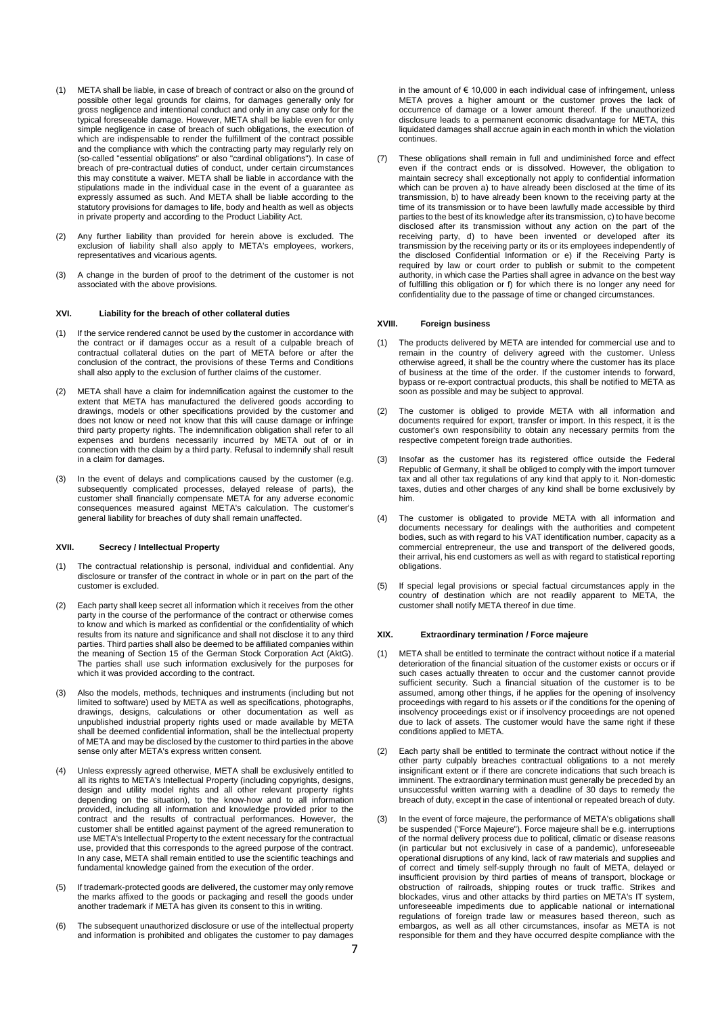- (1) META shall be liable, in case of breach of contract or also on the ground of possible other legal grounds for claims, for damages generally only for gross negligence and intentional conduct and only in any case only for the typical foreseeable damage. However, META shall be liable even for only simple negligence in case of breach of such obligations, the execution of which are indispensable to render the fulfillment of the contract possible and the compliance with which the contracting party may regularly rely on (so-called "essential obligations" or also "cardinal obligations"). In case of breach of pre-contractual duties of conduct, under certain circumstances this may constitute a waiver. META shall be liable in accordance with the stipulations made in the individual case in the event of a guarantee as expressly assumed as such. And META shall be liable according to the statutory provisions for damages to life, body and health as well as objects in private property and according to the Product Liability Act.
- (2) Any further liability than provided for herein above is excluded. The exclusion of liability shall also apply to META's employees, workers, representatives and vicarious agents.
- (3) A change in the burden of proof to the detriment of the customer is not associated with the above provisions.

### **XVI. Liability for the breach of other collateral duties**

- (1) If the service rendered cannot be used by the customer in accordance with the contract or if damages occur as a result of a culpable breach of contractual collateral duties on the part of META before or after the conclusion of the contract, the provisions of these Terms and Conditions shall also apply to the exclusion of further claims of the customer.
- (2) META shall have a claim for indemnification against the customer to the extent that META has manufactured the delivered goods according to drawings, models or other specifications provided by the customer and does not know or need not know that this will cause damage or infringe third party property rights. The indemnification obligation shall refer to all expenses and burdens necessarily incurred by META out of or in connection with the claim by a third party. Refusal to indemnify shall result in a claim for damages.
- (3) In the event of delays and complications caused by the customer (e.g. subsequently complicated processes, delayed release of parts), the customer shall financially compensate META for any adverse economic consequences measured against META's calculation. The customer's general liability for breaches of duty shall remain unaffected.

# **XVII. Secrecy / Intellectual Property**

- (1) The contractual relationship is personal, individual and confidential. Any disclosure or transfer of the contract in whole or in part on the part of the customer is excluded.
- (2) Each party shall keep secret all information which it receives from the other party in the course of the performance of the contract or otherwise comes to know and which is marked as confidential or the confidentiality of which results from its nature and significance and shall not disclose it to any third parties. Third parties shall also be deemed to be affiliated companies within the meaning of Section 15 of the German Stock Corporation Act (AktG). The parties shall use such information exclusively for the purposes for which it was provided according to the contract.
- (3) Also the models, methods, techniques and instruments (including but not limited to software) used by META as well as specifications, photographs, drawings, designs, calculations or other documentation as well as unpublished industrial property rights used or made available by META shall be deemed confidential information, shall be the intellectual property of META and may be disclosed by the customer to third parties in the above sense only after META's express written consent.
- (4) Unless expressly agreed otherwise, META shall be exclusively entitled to all its rights to META's Intellectual Property (including copyrights, designs, design and utility model rights and all other relevant property rights depending on the situation), to the know-how and to all information provided, including all information and knowledge provided prior to the contract and the results of contractual performances. However, the customer shall be entitled against payment of the agreed remuneration to use META's Intellectual Property to the extent necessary for the contractual use, provided that this corresponds to the agreed purpose of the contract. In any case, META shall remain entitled to use the scientific teachings and fundamental knowledge gained from the execution of the order.
- (5) If trademark-protected goods are delivered, the customer may only remove the marks affixed to the goods or packaging and resell the goods under another trademark if META has given its consent to this in writing.
- (6) The subsequent unauthorized disclosure or use of the intellectual property and information is prohibited and obligates the customer to pay damages

in the amount of € 10,000 in each individual case of infringement, unless META proves a higher amount or the customer proves the lack of occurrence of damage or a lower amount thereof. If the unauthorized disclosure leads to a permanent economic disadvantage for META, this liquidated damages shall accrue again in each month in which the violation continues.

(7) These obligations shall remain in full and undiminished force and effect even if the contract ends or is dissolved. However, the obligation to maintain secrecy shall exceptionally not apply to confidential information which can be proven a) to have already been disclosed at the time of its transmission, b) to have already been known to the receiving party at the time of its transmission or to have been lawfully made accessible by third parties to the best of its knowledge after its transmission, c) to have become disclosed after its transmission without any action on the part of the receiving party, d) to have been invented or developed after its transmission by the receiving party or its or its employees independently of the disclosed Confidential Information or e) if the Receiving Party is required by law or court order to publish or submit to the competent authority, in which case the Parties shall agree in advance on the best way of fulfilling this obligation or f) for which there is no longer any need for confidentiality due to the passage of time or changed circumstances.

## **XVIII. Foreign business**

- (1) The products delivered by META are intended for commercial use and to remain in the country of delivery agreed with the customer. Unless otherwise agreed, it shall be the country where the customer has its place of business at the time of the order. If the customer intends to forward, bypass or re-export contractual products, this shall be notified to META as soon as possible and may be subject to approval.
- (2) The customer is obliged to provide META with all information and documents required for export, transfer or import. In this respect, it is the customer's own responsibility to obtain any necessary permits from the respective competent foreign trade authorities.
- (3) Insofar as the customer has its registered office outside the Federal Republic of Germany, it shall be obliged to comply with the import turnover tax and all other tax regulations of any kind that apply to it. Non-domestic taxes, duties and other charges of any kind shall be borne exclusively by him.
- (4) The customer is obligated to provide META with all information and documents necessary for dealings with the authorities and competent bodies, such as with regard to his VAT identification number, capacity as a commercial entrepreneur, the use and transport of the delivered goods, their arrival, his end customers as well as with regard to statistical reporting obligations.
- (5) If special legal provisions or special factual circumstances apply in the country of destination which are not readily apparent to META, the customer shall notify META thereof in due time.

#### **XIX. Extraordinary termination / Force majeure**

- (1) META shall be entitled to terminate the contract without notice if a material deterioration of the financial situation of the customer exists or occurs or if such cases actually threaten to occur and the customer cannot provide sufficient security. Such a financial situation of the customer is to be assumed, among other things, if he applies for the opening of insolvency proceedings with regard to his assets or if the conditions for the opening of insolvency proceedings exist or if insolvency proceedings are not opened due to lack of assets. The customer would have the same right if these conditions applied to META.
- (2) Each party shall be entitled to terminate the contract without notice if the other party culpably breaches contractual obligations to a not merely insignificant extent or if there are concrete indications that such breach is imminent. The extraordinary termination must generally be preceded by an unsuccessful written warning with a deadline of 30 days to remedy the breach of duty, except in the case of intentional or repeated breach of duty.
- (3) In the event of force majeure, the performance of META's obligations shall be suspended ("Force Majeure"). Force majeure shall be e.g. interruptions of the normal delivery process due to political, climatic or disease reasons (in particular but not exclusively in case of a pandemic), unforeseeable operational disruptions of any kind, lack of raw materials and supplies and of correct and timely self-supply through no fault of META, delayed or insufficient provision by third parties of means of transport, blockage or obstruction of railroads, shipping routes or truck traffic. Strikes and blockades, virus and other attacks by third parties on META's IT system, unforeseeable impediments due to applicable national or international regulations of foreign trade law or measures based thereon, such as embargos, as well as all other circumstances, insofar as META is not responsible for them and they have occurred despite compliance with the